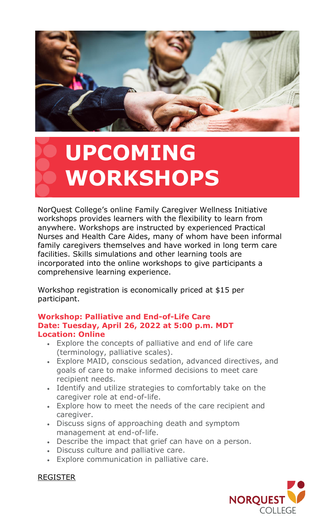

# **UPCOMING WORKSHOPS**

NorQuest College's online Family Caregiver Wellness Initiative workshops provides learners with the flexibility to learn from anywhere. Workshops are instructed by experienced Practical Nurses and Health Care Aides, many of whom have been informal family caregivers themselves and have worked in long term care facilities. Skills simulations and other learning tools are incorporated into the online workshops to give participants a comprehensive learning experience.

Workshop registration is economically priced at \$15 per participant.

### **Workshop: Palliative and End-of-Life Care Date: Tuesday, April 26, 2022 at 5:00 p.m. MDT Location: Online**

- Explore the concepts of palliative and end of life care (terminology, palliative scales).
- Explore MAID, conscious sedation, advanced directives, and goals of care to make informed decisions to meet care recipient needs.
- Identify and utilize strategies to comfortably take on the caregiver role at end-of-life.
- Explore how to meet the needs of the care recipient and caregiver.
- Discuss signs of approaching death and symptom management at end-of-life.
- Describe the impact that grief can have on a person.
- Discuss culture and palliative care.
- Explore communication in palliative care.



# [REGISTER](https://www.eventbrite.ca/e/xhlt-1830-palliative-and-end-of-life-care-tickets-310703521597)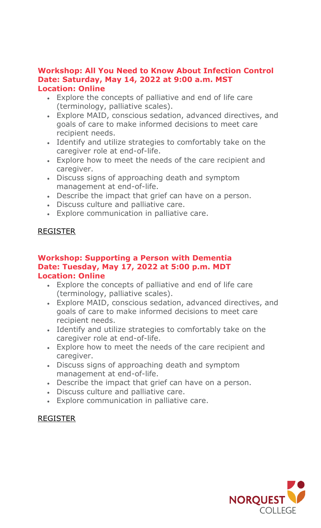#### **Workshop: All You Need to Know About Infection Control Date: Saturday, May 14, 2022 at 9:00 a.m. MST Location: Online**

- Explore the concepts of palliative and end of life care (terminology, palliative scales).
- Explore MAID, conscious sedation, advanced directives, and goals of care to make informed decisions to meet care recipient needs.
- Identify and utilize strategies to comfortably take on the caregiver role at end-of-life.
- Explore how to meet the needs of the care recipient and caregiver.
- Discuss signs of approaching death and symptom management at end-of-life.
- Describe the impact that grief can have on a person.
- Discuss culture and palliative care.
- Explore communication in palliative care.

# [REGISTER](https://www.eventbrite.ca/e/xhlt-1880-all-you-need-to-know-about-infection-control-tickets-309875194047)

#### **Workshop: Supporting a Person with Dementia Date: Tuesday, May 17, 2022 at 5:00 p.m. MDT Location: Online**

- Explore the concepts of palliative and end of life care (terminology, palliative scales).
- Explore MAID, conscious sedation, advanced directives, and goals of care to make informed decisions to meet care recipient needs.
- Identify and utilize strategies to comfortably take on the caregiver role at end-of-life.
- Explore how to meet the needs of the care recipient and caregiver.
- Discuss signs of approaching death and symptom management at end-of-life.
- Describe the impact that grief can have on a person.
- Discuss culture and palliative care.
- Explore communication in palliative care.

# [REGISTER](https://www.eventbrite.ca/e/xhlt-1860-supporting-a-person-with-dementia-tickets-298714732807)